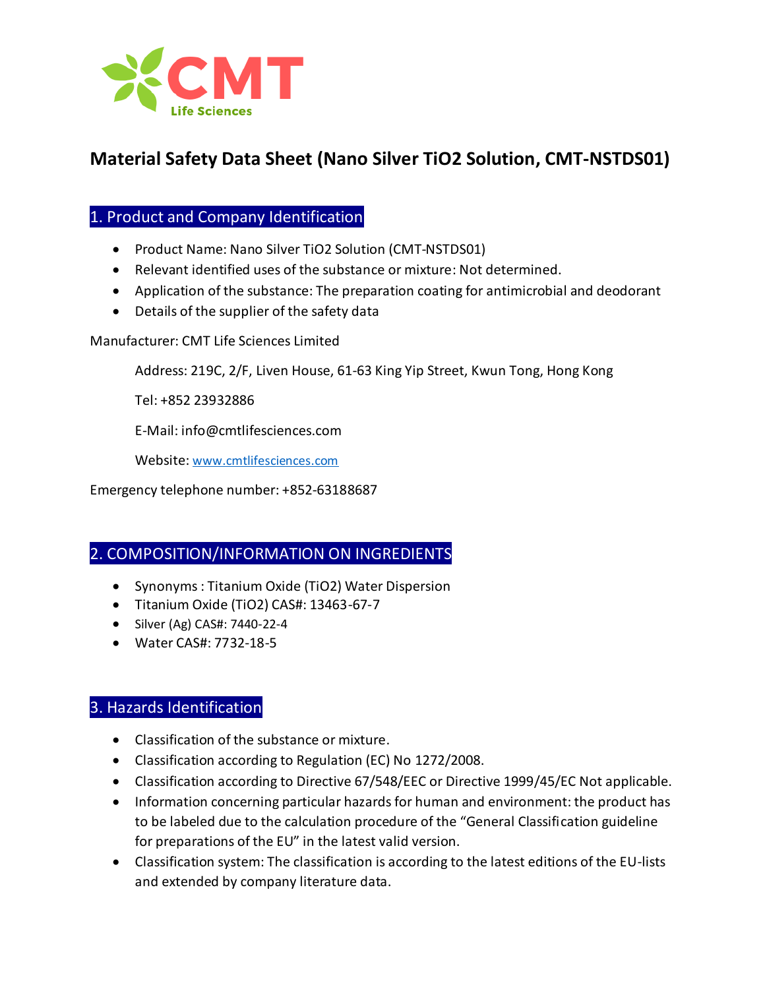

# **Material Safety Data Sheet (Nano Silver TiO2 Solution, CMT-NSTDS01)**

# 1. Product and Company Identification

- Product Name: Nano Silver TiO2 Solution (CMT-NSTDS01)
- Relevant identified uses of the substance or mixture: Not determined.
- Application of the substance: The preparation coating for antimicrobial and deodorant
- Details of the supplier of the safety data

Manufacturer: CMT Life Sciences Limited

Address: 219C, 2/F, Liven House, 61-63 King Yip Street, Kwun Tong, Hong Kong

Tel: +852 23932886

E-Mail: info@cmtlifesciences.com

Website: [www.cmtlifesciences.com](http://www.cmtlifesciences.com/)

Emergency telephone number: +852-63188687

## 2. COMPOSITION/INFORMATION ON INGREDIENTS

- Synonyms : Titanium Oxide (TiO2) Water Dispersion
- Titanium Oxide (TiO2) CAS#: 13463-67-7
- Silver (Ag) CAS#: 7440-22-4
- Water CAS#: 7732-18-5

# 3. Hazards Identification

- Classification of the substance or mixture.
- Classification according to Regulation (EC) No 1272/2008.
- Classification according to Directive 67/548/EEC or Directive 1999/45/EC Not applicable.
- Information concerning particular hazards for human and environment: the product has to be labeled due to the calculation procedure of the "General Classification guideline for preparations of the EU" in the latest valid version.
- Classification system: The classification is according to the latest editions of the EU-lists and extended by company literature data.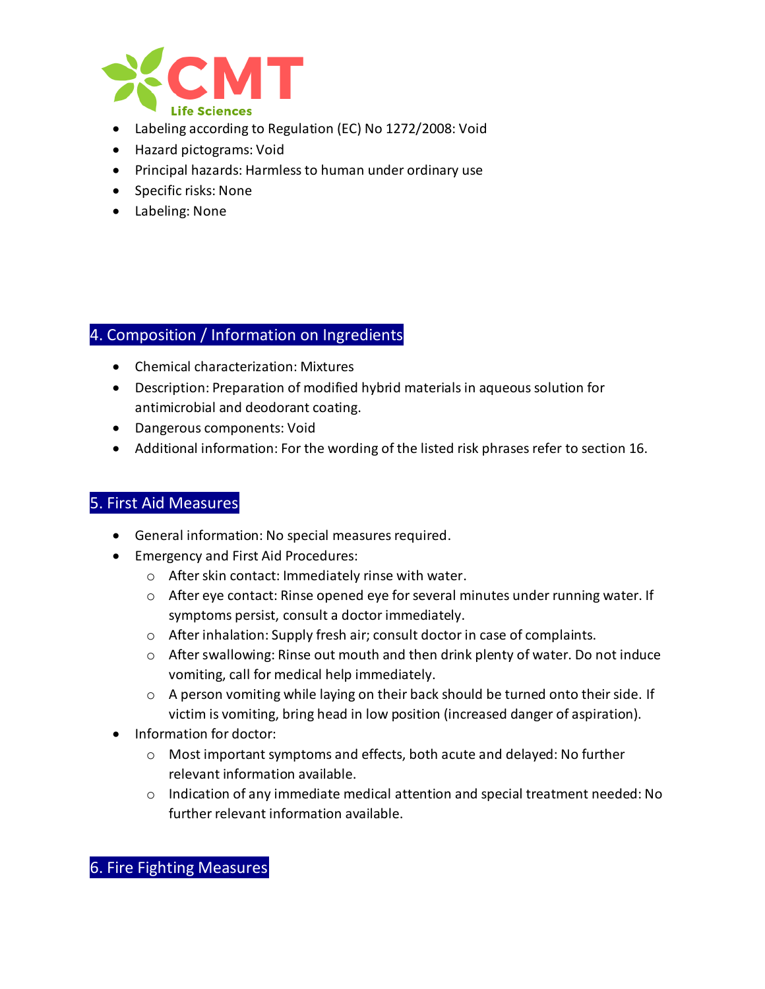

- Labeling according to Regulation (EC) No 1272/2008: Void
- Hazard pictograms: Void
- Principal hazards: Harmless to human under ordinary use
- Specific risks: None
- Labeling: None

### 4. Composition / Information on Ingredients

- Chemical characterization: Mixtures
- Description: Preparation of modified hybrid materials in aqueous solution for antimicrobial and deodorant coating.
- Dangerous components: Void
- Additional information: For the wording of the listed risk phrases refer to section 16.

# 5. First Aid Measures

- General information: No special measures required.
- Emergency and First Aid Procedures:
	- o After skin contact: Immediately rinse with water.
	- $\circ$  After eye contact: Rinse opened eye for several minutes under running water. If symptoms persist, consult a doctor immediately.
	- o After inhalation: Supply fresh air; consult doctor in case of complaints.
	- o After swallowing: Rinse out mouth and then drink plenty of water. Do not induce vomiting, call for medical help immediately.
	- o A person vomiting while laying on their back should be turned onto their side. If victim is vomiting, bring head in low position (increased danger of aspiration).
- Information for doctor:
	- o Most important symptoms and effects, both acute and delayed: No further relevant information available.
	- $\circ$  Indication of any immediate medical attention and special treatment needed: No further relevant information available.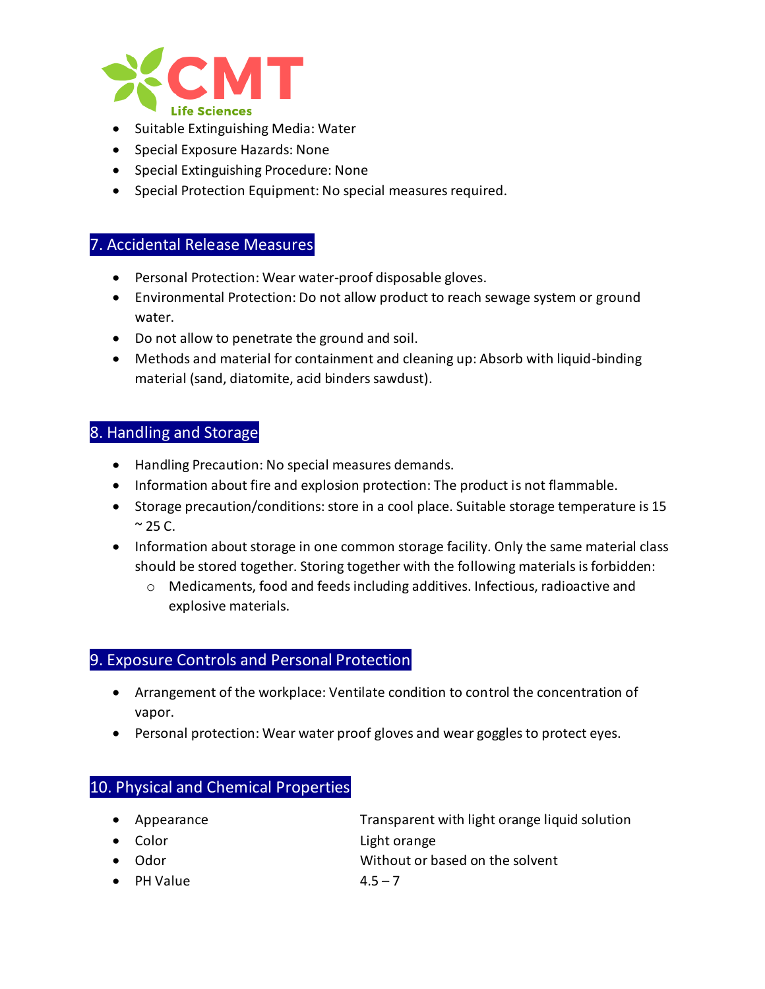

- Suitable Extinguishing Media: Water
- Special Exposure Hazards: None
- Special Extinguishing Procedure: None
- Special Protection Equipment: No special measures required.

#### 7. Accidental Release Measures

- Personal Protection: Wear water-proof disposable gloves.
- Environmental Protection: Do not allow product to reach sewage system or ground water.
- Do not allow to penetrate the ground and soil.
- Methods and material for containment and cleaning up: Absorb with liquid-binding material (sand, diatomite, acid binders sawdust).

#### 8. Handling and Storage

- Handling Precaution: No special measures demands.
- Information about fire and explosion protection: The product is not flammable.
- Storage precaution/conditions: store in a cool place. Suitable storage temperature is 15  $\approx$  25 C.
- Information about storage in one common storage facility. Only the same material class should be stored together. Storing together with the following materials is forbidden:
	- $\circ$  Medicaments, food and feeds including additives. Infectious, radioactive and explosive materials.

# 9. Exposure Controls and Personal Protection

- Arrangement of the workplace: Ventilate condition to control the concentration of vapor.
- Personal protection: Wear water proof gloves and wear goggles to protect eyes.

### 10. Physical and Chemical Properties

- Appearance **Transparent with light orange liquid solution**
- Color Light orange
- Odor Without or based on the solvent
- PH Value  $4.5 7$ 
	-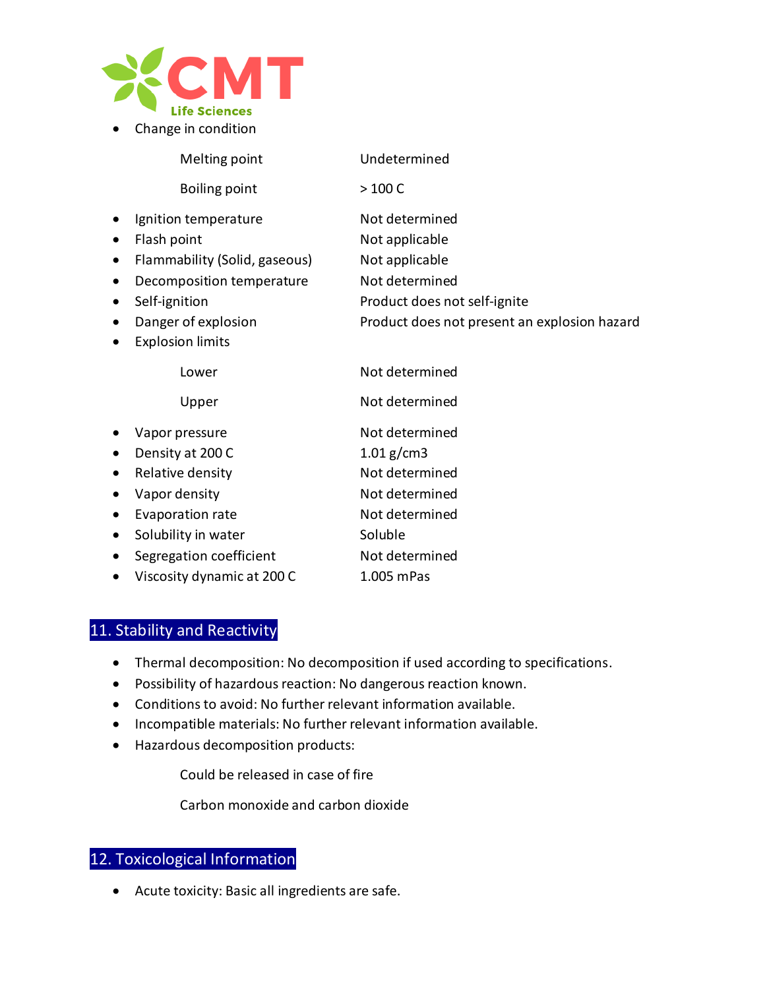

• Change in condition

|           | Melting point                 | Undetermined                                 |
|-----------|-------------------------------|----------------------------------------------|
|           | Boiling point                 | $>100 C$                                     |
| $\bullet$ | Ignition temperature          | Not determined                               |
| $\bullet$ | Flash point                   | Not applicable                               |
| $\bullet$ | Flammability (Solid, gaseous) | Not applicable                               |
| $\bullet$ | Decomposition temperature     | Not determined                               |
| $\bullet$ | Self-ignition                 | Product does not self-ignite                 |
| $\bullet$ | Danger of explosion           | Product does not present an explosion hazard |
| ٠         | <b>Explosion limits</b>       |                                              |
|           | Lower                         | Not determined                               |
|           | Upper                         | Not determined                               |
|           | Vapor pressure                | Not determined                               |
| $\bullet$ | Density at 200 C              | $1.01$ g/cm3                                 |
| $\bullet$ | Relative density              | Not determined                               |
| $\bullet$ | Vapor density                 | Not determined                               |
| $\bullet$ | Evaporation rate              | Not determined                               |
| $\bullet$ | Solubility in water           | Soluble                                      |
| $\bullet$ | Segregation coefficient       | Not determined                               |
|           | Viscosity dynamic at 200 C    | 1.005 mPas                                   |

# 11. Stability and Reactivity

- Thermal decomposition: No decomposition if used according to specifications.
- Possibility of hazardous reaction: No dangerous reaction known.
- Conditions to avoid: No further relevant information available.
- Incompatible materials: No further relevant information available.
- Hazardous decomposition products:

Could be released in case of fire

Carbon monoxide and carbon dioxide

# 12. Toxicological Information

• Acute toxicity: Basic all ingredients are safe.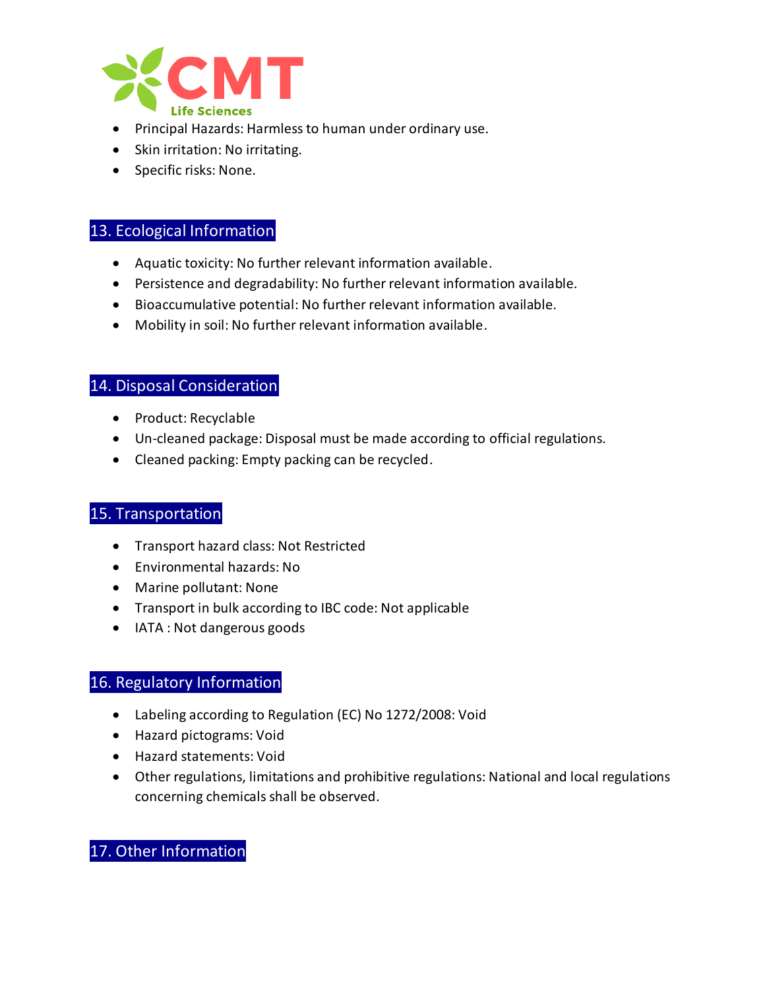

- Principal Hazards: Harmless to human under ordinary use.
- Skin irritation: No irritating.
- Specific risks: None.

## 13. Ecological Information

- Aquatic toxicity: No further relevant information available.
- Persistence and degradability: No further relevant information available.
- Bioaccumulative potential: No further relevant information available.
- Mobility in soil: No further relevant information available.

### 14. Disposal Consideration

- Product: Recyclable
- Un-cleaned package: Disposal must be made according to official regulations.
- Cleaned packing: Empty packing can be recycled.

### 15. Transportation

- Transport hazard class: Not Restricted
- Environmental hazards: No
- Marine pollutant: None
- Transport in bulk according to IBC code: Not applicable
- IATA : Not dangerous goods

## 16. Regulatory Information

- Labeling according to Regulation (EC) No 1272/2008: Void
- Hazard pictograms: Void
- Hazard statements: Void
- Other regulations, limitations and prohibitive regulations: National and local regulations concerning chemicals shall be observed.

# 17. Other Information